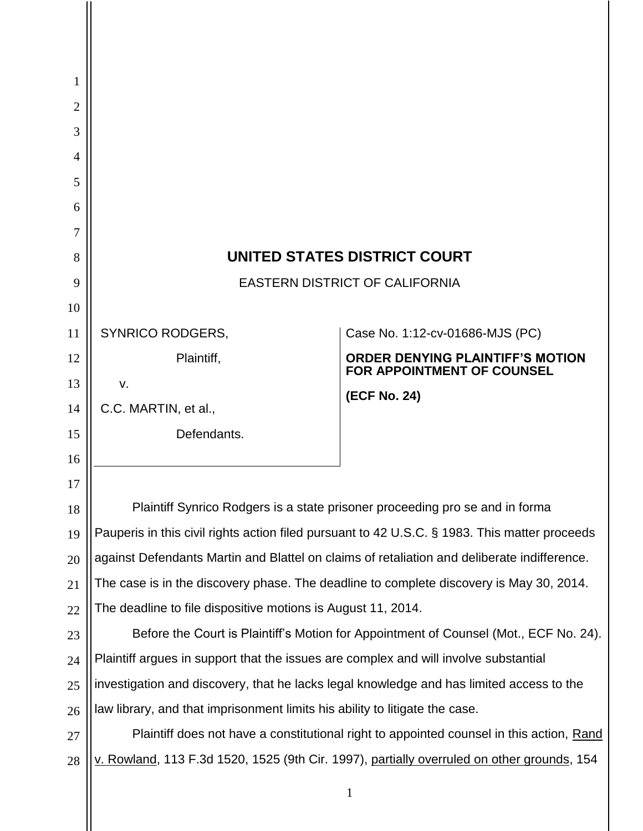| 1  |                                                                                               |                                                                                            |
|----|-----------------------------------------------------------------------------------------------|--------------------------------------------------------------------------------------------|
| 2  |                                                                                               |                                                                                            |
| 3  |                                                                                               |                                                                                            |
| 4  |                                                                                               |                                                                                            |
| 5  |                                                                                               |                                                                                            |
| 6  |                                                                                               |                                                                                            |
| 7  |                                                                                               |                                                                                            |
| 8  | UNITED STATES DISTRICT COURT                                                                  |                                                                                            |
| 9  | EASTERN DISTRICT OF CALIFORNIA                                                                |                                                                                            |
| 10 |                                                                                               |                                                                                            |
| 11 | <b>SYNRICO RODGERS,</b>                                                                       | Case No. 1:12-cv-01686-MJS (PC)                                                            |
| 12 | Plaintiff,                                                                                    | <b>ORDER DENYING PLAINTIFF'S MOTION</b><br><b>FOR APPOINTMENT OF COUNSEL</b>               |
| 13 | V.                                                                                            | (ECF No. 24)                                                                               |
| 14 | C.C. MARTIN, et al.,                                                                          |                                                                                            |
| 15 | Defendants.                                                                                   |                                                                                            |
| 16 |                                                                                               |                                                                                            |
| 17 |                                                                                               |                                                                                            |
| 18 | Plaintiff Synrico Rodgers is a state prisoner proceeding pro se and in forma                  |                                                                                            |
| 19 | Pauperis in this civil rights action filed pursuant to 42 U.S.C. § 1983. This matter proceeds |                                                                                            |
| 20 | against Defendants Martin and Blattel on claims of retaliation and deliberate indifference.   |                                                                                            |
| 21 | The case is in the discovery phase. The deadline to complete discovery is May 30, 2014.       |                                                                                            |
| 22 | The deadline to file dispositive motions is August 11, 2014.                                  |                                                                                            |
| 23 | Before the Court is Plaintiff's Motion for Appointment of Counsel (Mot., ECF No. 24).         |                                                                                            |
| 24 | Plaintiff argues in support that the issues are complex and will involve substantial          |                                                                                            |
| 25 | investigation and discovery, that he lacks legal knowledge and has limited access to the      |                                                                                            |
| 26 | law library, and that imprisonment limits his ability to litigate the case.                   |                                                                                            |
| 27 | Plaintiff does not have a constitutional right to appointed counsel in this action, Rand      |                                                                                            |
| 28 |                                                                                               | v. Rowland, 113 F.3d 1520, 1525 (9th Cir. 1997), partially overruled on other grounds, 154 |
|    |                                                                                               | $\mathbf{1}$                                                                               |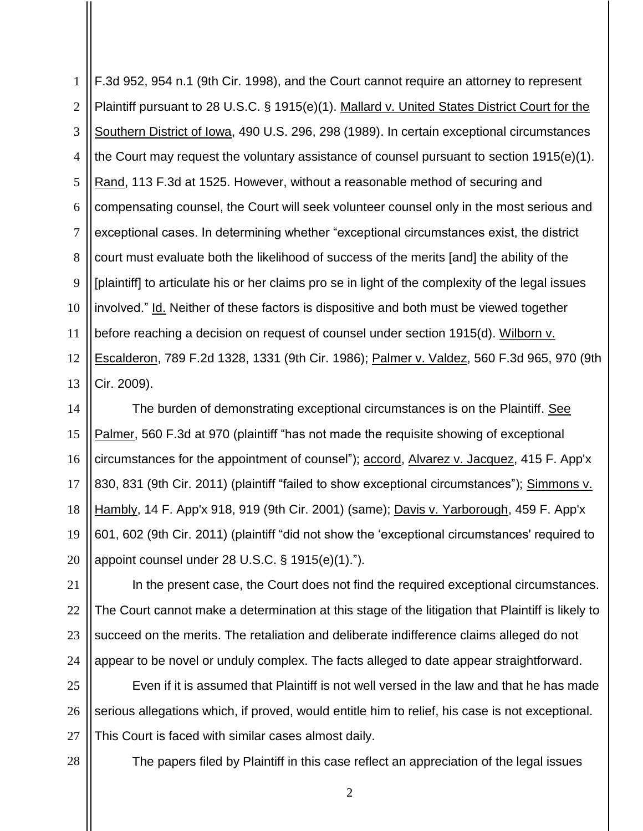1 2 3 4 5 6 7 8 9 10 11 12 13 [F.3d 952, 954 n.1 \(9th Cir.](http://web2.westlaw.com/find/default.wl?mt=Westlaw&db=506&tc=-1&rp=%2ffind%2fdefault.wl&findtype=Y&ordoc=2031174657&serialnum=1998179816&vr=2.0&fn=_top&sv=Split&tf=-1&referencepositiontype=S&pbc=ABA6549A&referenceposition=954&rs=WLW13.04) 1998), and the Court cannot require an attorney to represent Plaintiff pursuant to [28 U.S.C. § 1915\(e\)\(1\).](http://web2.westlaw.com/find/default.wl?mt=Westlaw&db=1000546&docname=28USCAS1915&rp=%2ffind%2fdefault.wl&findtype=L&ordoc=2031174657&tc=-1&vr=2.0&fn=_top&sv=Split&tf=-1&referencepositiontype=T&pbc=ABA6549A&referenceposition=SP%3b06a60000dfdc6&rs=WLW13.04) Mallard v. United States District Court for the Southern District of Iowa, [490 U.S. 296, 298 \(1989\).](http://web2.westlaw.com/find/default.wl?mt=Westlaw&db=708&tc=-1&rp=%2ffind%2fdefault.wl&findtype=Y&ordoc=2031174657&serialnum=1989063357&vr=2.0&fn=_top&sv=Split&tf=-1&pbc=ABA6549A&rs=WLW13.04) In certain exceptional circumstances the Court may request the voluntary assistance of counsel pursuant to [section 1915\(e\)\(1\).](http://web2.westlaw.com/find/default.wl?mt=Westlaw&db=1000546&docname=28USCAS1915&rp=%2ffind%2fdefault.wl&findtype=L&ordoc=2031174657&tc=-1&vr=2.0&fn=_top&sv=Split&tf=-1&referencepositiontype=T&pbc=ABA6549A&referenceposition=SP%3b06a60000dfdc6&rs=WLW13.04) Rand, [113 F.3d at 1525.](http://web2.westlaw.com/find/default.wl?mt=Westlaw&db=506&tc=-1&rp=%2ffind%2fdefault.wl&findtype=Y&ordoc=2031174657&serialnum=1997120424&vr=2.0&fn=_top&sv=Split&tf=-1&referencepositiontype=S&pbc=ABA6549A&referenceposition=1525&rs=WLW13.04) However, without a reasonable method of securing and compensating counsel, the Court will seek volunteer counsel only in the most serious and exceptional cases. In determining whether "exceptional circumstances exist, the district court must evaluate both the likelihood of success of the merits [and] the ability of the [plaintiff] to articulate his or her claims pro se in light of the complexity of the legal issues involved." Id. Neither of these factors is dispositive and both must be viewed together before reaching a decision on request of counsel under [section 1915\(d\).](http://web2.westlaw.com/find/default.wl?mt=Westlaw&db=1000546&docname=28USCAS1915&rp=%2ffind%2fdefault.wl&findtype=L&ordoc=2031174657&tc=-1&vr=2.0&fn=_top&sv=Split&tf=-1&referencepositiontype=T&pbc=ABA6549A&referenceposition=SP%3b5ba1000067d06&rs=WLW13.04) Wilborn v. Escalderon, [789 F.2d 1328, 1331 \(9th Cir.](http://web2.westlaw.com/find/default.wl?mt=Westlaw&db=350&tc=-1&rp=%2ffind%2fdefault.wl&findtype=Y&ordoc=2031174657&serialnum=1986134496&vr=2.0&fn=_top&sv=Split&tf=-1&referencepositiontype=S&pbc=ABA6549A&referenceposition=1331&rs=WLW13.04) 1986); Palmer v. Valdez, [560 F.3d 965, 970 \(9th](http://web2.westlaw.com/find/default.wl?mt=Westlaw&db=506&tc=-1&rp=%2ffind%2fdefault.wl&findtype=Y&ordoc=2031174657&serialnum=2018419672&vr=2.0&fn=_top&sv=Split&tf=-1&referencepositiontype=S&pbc=ABA6549A&referenceposition=970&rs=WLW13.04)  Cir. [2009\).](http://web2.westlaw.com/find/default.wl?mt=Westlaw&db=506&tc=-1&rp=%2ffind%2fdefault.wl&findtype=Y&ordoc=2031174657&serialnum=2018419672&vr=2.0&fn=_top&sv=Split&tf=-1&referencepositiontype=S&pbc=ABA6549A&referenceposition=970&rs=WLW13.04)

14 15 16 17 18 19 20 The burden of demonstrating exceptional circumstances is on the Plaintiff. See Palmer, [560 F.3d at 970](http://web2.westlaw.com/find/default.wl?mt=Westlaw&db=506&tc=-1&rp=%2ffind%2fdefault.wl&findtype=Y&ordoc=2031174657&serialnum=2018419672&vr=2.0&fn=_top&sv=Split&tf=-1&referencepositiontype=S&pbc=ABA6549A&referenceposition=970&rs=WLW13.04) (plaintiff "has not made the requisite showing of exceptional circumstances for the appointment of counsel"); accord, [Alvarez v. Jacquez,](http://web2.westlaw.com/find/default.wl?mt=Westlaw&db=6538&tc=-1&rp=%2ffind%2fdefault.wl&findtype=Y&ordoc=2031174657&serialnum=2024669862&vr=2.0&fn=_top&sv=Split&tf=-1&referencepositiontype=S&pbc=ABA6549A&referenceposition=831&rs=WLW13.04) 415 F. App'x [830, 831 \(9th Cir.](http://web2.westlaw.com/find/default.wl?mt=Westlaw&db=6538&tc=-1&rp=%2ffind%2fdefault.wl&findtype=Y&ordoc=2031174657&serialnum=2024669862&vr=2.0&fn=_top&sv=Split&tf=-1&referencepositiontype=S&pbc=ABA6549A&referenceposition=831&rs=WLW13.04) 2011) (plaintiff "failed to show exceptional circumstances"); Simmons v. Hambly, [14 F. App'x 918, 919 \(9th Cir.](http://web2.westlaw.com/find/default.wl?mt=Westlaw&db=6538&tc=-1&rp=%2ffind%2fdefault.wl&findtype=Y&ordoc=2031174657&serialnum=2001619804&vr=2.0&fn=_top&sv=Split&tf=-1&referencepositiontype=S&pbc=ABA6549A&referenceposition=919&rs=WLW13.04) 2001) (same); [Davis v. Yarborough,](http://web2.westlaw.com/find/default.wl?mt=Westlaw&db=6538&tc=-1&rp=%2ffind%2fdefault.wl&findtype=Y&ordoc=2031174657&serialnum=2026554093&vr=2.0&fn=_top&sv=Split&tf=-1&referencepositiontype=S&pbc=ABA6549A&referenceposition=602&rs=WLW13.04) 459 F. App'x [601, 602 \(9th Cir.](http://web2.westlaw.com/find/default.wl?mt=Westlaw&db=6538&tc=-1&rp=%2ffind%2fdefault.wl&findtype=Y&ordoc=2031174657&serialnum=2026554093&vr=2.0&fn=_top&sv=Split&tf=-1&referencepositiontype=S&pbc=ABA6549A&referenceposition=602&rs=WLW13.04) 2011) (plaintiff "did not show the 'exceptional circumstances' required to appoint counsel under [28 U.S.C. § 1915\(e\)\(1\).](http://web2.westlaw.com/find/default.wl?mt=Westlaw&db=1000546&docname=28USCAS1915&rp=%2ffind%2fdefault.wl&findtype=L&ordoc=2031174657&tc=-1&vr=2.0&fn=_top&sv=Split&tf=-1&referencepositiontype=T&pbc=ABA6549A&referenceposition=SP%3b06a60000dfdc6&rs=WLW13.04)").

21 22 23 24 In the present case, the Court does not find the required exceptional circumstances. The Court cannot make a determination at this stage of the litigation that Plaintiff is likely to succeed on the merits. The retaliation and deliberate indifference claims alleged do not appear to be novel or unduly complex. The facts alleged to date appear straightforward.

25 26 27 Even if it is assumed that Plaintiff is not well versed in the law and that he has made serious allegations which, if proved, would entitle him to relief, his case is not exceptional. This Court is faced with similar cases almost daily.

28

The papers filed by Plaintiff in this case reflect an appreciation of the legal issues

2